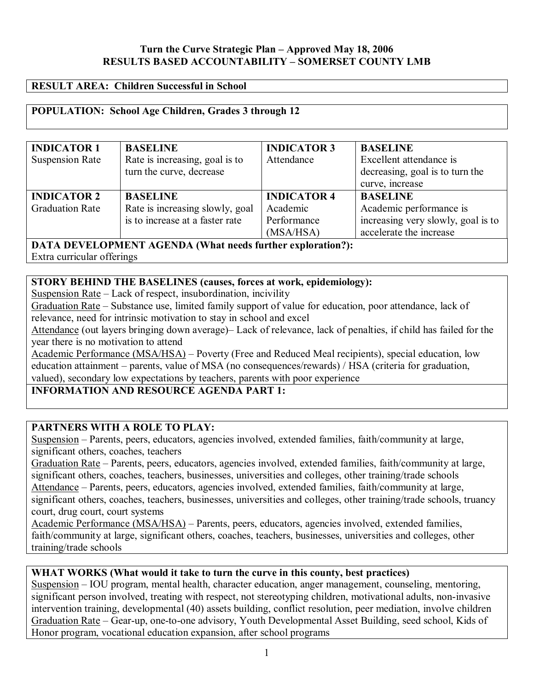# Turn the Curve Strategic Plan – Approved May 18, 2006 **RESULTS BASED ACCOUNTABILITY - SOMERSET COUNTY LMB**

#### **RESULT AREA: Children Successful in School**

# **POPULATION: School Age Children, Grades 3 through 12**

| <b>INDICATOR 1</b>                                         | <b>BASELINE</b>                 | <b>INDICATOR 3</b> | <b>BASELINE</b>                    |  |
|------------------------------------------------------------|---------------------------------|--------------------|------------------------------------|--|
| <b>Suspension Rate</b>                                     | Rate is increasing, goal is to  | Attendance         | Excellent attendance is            |  |
|                                                            | turn the curve, decrease        |                    | decreasing, goal is to turn the    |  |
|                                                            |                                 |                    | curve, increase                    |  |
| <b>INDICATOR 2</b>                                         | <b>BASELINE</b>                 | <b>INDICATOR 4</b> | <b>BASELINE</b>                    |  |
| <b>Graduation Rate</b>                                     | Rate is increasing slowly, goal | Academic           | Academic performance is            |  |
|                                                            | is to increase at a faster rate | Performance        | increasing very slowly, goal is to |  |
|                                                            |                                 | (MSA/HSA)          | accelerate the increase            |  |
| DATA DEVELOPMENT AGENDA (What needs further exploration?): |                                 |                    |                                    |  |

Extra curricular offerings

# **STORY BEHIND THE BASELINES (causes, forces at work, epidemiology):**

Suspension Rate  $-$  Lack of respect, insubordination, incivility

Graduation Rate – Substance use, limited family support of value for education, poor attendance, lack of relevance, need for intrinsic motivation to stay in school and excel

Attendance (out layers bringing down average) - Lack of relevance, lack of penalties, if child has failed for the year there is no motivation to attend

Academic Performance (MSA/HSA) – Poverty (Free and Reduced Meal recipients), special education, low education attainment – parents, value of MSA (no consequences/rewards) / HSA (criteria for graduation, valued), secondary low expectations by teachers, parents with poor experience

**INFORMATION AND RESOURCE AGENDA PART 1:** 

# **PARTNERS WITH A ROLE TO PLAY:**

Suspension – Parents, peers, educators, agencies involved, extended families, faith/community at large, significant others, coaches, teachers

Graduation Rate – Parents, peers, educators, agencies involved, extended families, faith/community at large, significant others, coaches, teachers, businesses, universities and colleges, other training/trade schools Attendance – Parents, peers, educators, agencies involved, extended families, faith/community at large, significant others, coaches, teachers, businesses, universities and colleges, other training/trade schools, truancy court, drug court, court systems

Academic Performance (MSA/HSA) – Parents, peers, educators, agencies involved, extended families, faith/community at large, significant others, coaches, teachers, businesses, universities and colleges, other training/trade schools

# **WHAT WORKS (What would it take to turn the curve in this county, best practices)**

Suspension – IOU program, mental health, character education, anger management, counseling, mentoring, significant person involved, treating with respect, not stereotyping children, motivational adults, non-invasive intervention training, developmental (40) assets building, conflict resolution, peer mediation, involve children Graduation Rate – Gear-up, one-to-one advisory, Youth Developmental Asset Building, seed school, Kids of Honor program, vocational education expansion, after school programs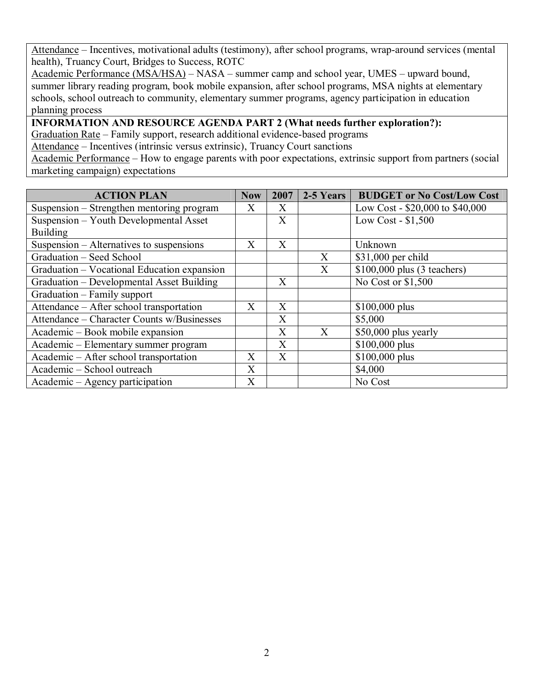Attendance – Incentives, motivational adults (testimony), after school programs, wrap-around services (mental health), Truancy Court, Bridges to Success, ROTC

Academic Performance (MSA/HSA) – NASA – summer camp and school year, UMES – upward bound, summer library reading program, book mobile expansion, after school programs, MSA nights at elementary schools, school outreach to community, elementary summer programs, agency participation in education planning process

**INFORMATION AND RESOURCE AGENDA PART 2 (What needs further exploration?):** 

Graduation Rate – Family support, research additional evidence-based programs

Attendance – Incentives (intrinsic versus extrinsic), Truancy Court sanctions

Academic Performance – How to engage parents with poor expectations, extrinsic support from partners (social marketing campaign) expectations

| <b>ACTION PLAN</b>                          | <b>Now</b>   | 2007 | 2-5 Years | <b>BUDGET or No Cost/Low Cost</b> |
|---------------------------------------------|--------------|------|-----------|-----------------------------------|
| Suspension - Strengthen mentoring program   | X            | X    |           | Low Cost - \$20,000 to \$40,000   |
| Suspension - Youth Developmental Asset      |              | X    |           | Low Cost - $$1,500$               |
| <b>Building</b>                             |              |      |           |                                   |
| Suspension – Alternatives to suspensions    | X            | X    |           | Unknown                           |
| Graduation – Seed School                    |              |      | X         | \$31,000 per child                |
| Graduation – Vocational Education expansion |              |      | X         | $$100,000$ plus (3 teachers)      |
| Graduation - Developmental Asset Building   |              | X    |           | No Cost or \$1,500                |
| Graduation – Family support                 |              |      |           |                                   |
| Attendance - After school transportation    | X            | X    |           | $$100,000$ plus                   |
| Attendance – Character Counts w/Businesses  |              | X    |           | \$5,000                           |
| Academic – Book mobile expansion            |              | X    | X         | \$50,000 plus yearly              |
| Academic – Elementary summer program        |              | X    |           | $$100,000$ plus                   |
| Academic – After school transportation      | X            | X    |           | $$100,000$ plus                   |
| Academic - School outreach                  | $\mathbf{X}$ |      |           | \$4,000                           |
| Academic – Agency participation             | X            |      |           | No Cost                           |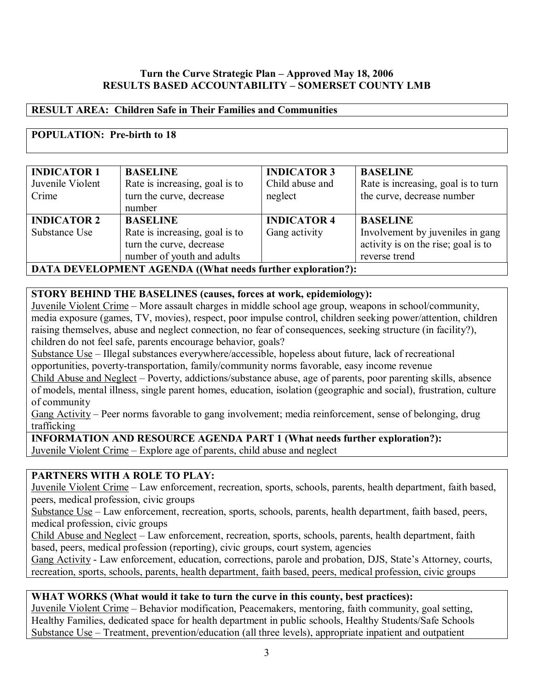# Turn the Curve Strategic Plan - Approved May 18, 2006 **RESULTS BASED ACCOUNTABILITY – SOMERSET COUNTY LMB**

# **RESULT AREA: Children Safe in Their Families and Communities**

# **POPULATION: Pre-birth to 18**

| <b>INDICATOR 1</b><br>Juvenile Violent<br>Crime                    | <b>BASELINE</b><br>Rate is increasing, goal is to<br>turn the curve, decrease<br>number                     | <b>INDICATOR 3</b><br>Child abuse and<br>neglect | <b>BASELINE</b><br>Rate is increasing, goal is to turn<br>the curve, decrease number                        |
|--------------------------------------------------------------------|-------------------------------------------------------------------------------------------------------------|--------------------------------------------------|-------------------------------------------------------------------------------------------------------------|
| <b>INDICATOR 2</b><br>Substance Use                                | <b>BASELINE</b><br>Rate is increasing, goal is to<br>turn the curve, decrease<br>number of youth and adults | <b>INDICATOR 4</b><br>Gang activity              | <b>BASELINE</b><br>Involvement by juveniles in gang<br>activity is on the rise; goal is to<br>reverse trend |
| <b>DATA DEVELOPMENT AGENDA ((What needs further exploration?):</b> |                                                                                                             |                                                  |                                                                                                             |

# **STORY BEHIND THE BASELINES (causes, forces at work, epidemiology):**

Juvenile Violent Crime – More assault charges in middle school age group, weapons in school/community, media exposure (games, TV, movies), respect, poor impulse control, children seeking power/attention, children raising themselves, abuse and neglect connection, no fear of consequences, seeking structure (in facility?), children do not feel safe, parents encourage behavior, goals?

Substance Use – Illegal substances everywhere/accessible, hopeless about future, lack of recreational opportunities, poverty-transportation, family/community norms favorable, easy income revenue

Child Abuse and Neglect – Poverty, addictions/substance abuse, age of parents, poor parenting skills, absence of models, mental illness, single parent homes, education, isolation (geographic and social), frustration, culture of community

Gang Activity – Peer norms favorable to gang involvement; media reinforcement, sense of belonging, drug trafficking

**INFORMATION AND RESOURCE AGENDA PART 1 (What needs further exploration?):** 

Juvenile Violent Crime – Explore age of parents, child abuse and neglect

# **PARTNERS WITH A ROLE TO PLAY:**

Juvenile Violent Crime – Law enforcement, recreation, sports, schools, parents, health department, faith based, peers, medical profession, civic groups

Substance  $Use$  – Law enforcement, recreation, sports, schools, parents, health department, faith based, peers, medical profession, civic groups

Child Abuse and Neglect – Law enforcement, recreation, sports, schools, parents, health department, faith based, peers, medical profession (reporting), civic groups, court system, agencies

Gang Activity - Law enforcement, education, corrections, parole and probation, DJS, State's Attorney, courts, recreation, sports, schools, parents, health department, faith based, peers, medical profession, civic groups

# **WHAT WORKS (What would it take to turn the curve in this county, best practices):**

Juvenile Violent Crime – Behavior modification, Peacemakers, mentoring, faith community, goal setting, Healthy Families, dedicated space for health department in public schools, Healthy Students/Safe Schools Substance  $Use$  – Treatment, prevention/education (all three levels), appropriate inpatient and outpatient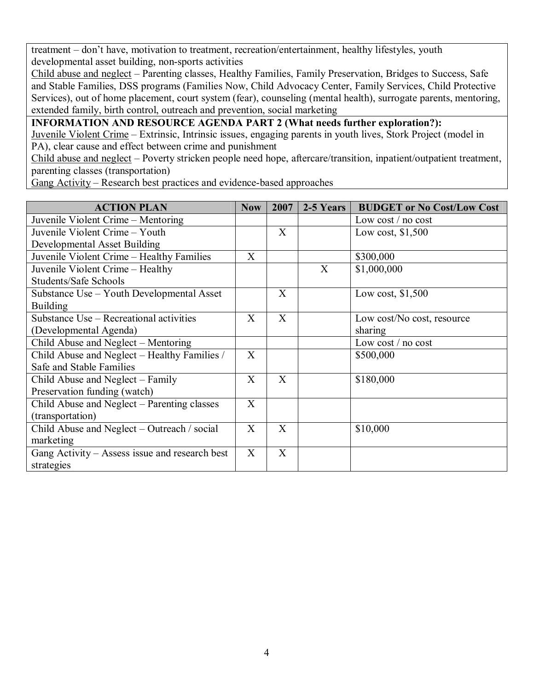treatment – don't have, motivation to treatment, recreation/entertainment, healthy lifestyles, youth developmental asset building, non-sports activities

Child abuse and neglect – Parenting classes, Healthy Families, Family Preservation, Bridges to Success, Safe and Stable Families, DSS programs (Families Now, Child Advocacy Center, Family Services, Child Protective Services), out of home placement, court system (fear), counseling (mental health), surrogate parents, mentoring, extended family, birth control, outreach and prevention, social marketing

**INFORMATION AND RESOURCE AGENDA PART 2 (What needs further exploration?):** 

Juvenile Violent Crime – Extrinsic, Intrinsic issues, engaging parents in youth lives, Stork Project (model in PA), clear cause and effect between crime and punishment

Child abuse and neglect – Poverty stricken people need hope, aftercare/transition, inpatient/outpatient treatment, parenting classes (transportation)

Gang Activity – Research best practices and evidence-based approaches

| <b>ACTION PLAN</b>                             | <b>Now</b>   | 2007           | $2-5$ Years | <b>BUDGET or No Cost/Low Cost</b> |
|------------------------------------------------|--------------|----------------|-------------|-----------------------------------|
| Juvenile Violent Crime – Mentoring             |              |                |             | Low cost $/$ no cost              |
| Juvenile Violent Crime - Youth                 |              | X              |             | Low cost, $$1,500$                |
| <b>Developmental Asset Building</b>            |              |                |             |                                   |
| Juvenile Violent Crime - Healthy Families      | X            |                |             | \$300,000                         |
| Juvenile Violent Crime - Healthy               |              |                | X           | \$1,000,000                       |
| <b>Students/Safe Schools</b>                   |              |                |             |                                   |
| Substance Use – Youth Developmental Asset      |              | X              |             | Low cost, $$1,500$                |
| <b>Building</b>                                |              |                |             |                                   |
| Substance Use – Recreational activities        | $\mathbf{X}$ | $\overline{X}$ |             | Low cost/No cost, resource        |
| (Developmental Agenda)                         |              |                |             | sharing                           |
| Child Abuse and Neglect – Mentoring            |              |                |             | Low cost $/$ no cost              |
| Child Abuse and Neglect – Healthy Families /   |              |                |             | \$500,000                         |
| Safe and Stable Families                       |              |                |             |                                   |
| Child Abuse and Neglect – Family               |              | X              |             | \$180,000                         |
| Preservation funding (watch)                   |              |                |             |                                   |
| Child Abuse and Neglect - Parenting classes    |              |                |             |                                   |
| (transportation)                               |              |                |             |                                   |
| Child Abuse and Neglect – Outreach / social    |              | X              |             | \$10,000                          |
| marketing                                      |              |                |             |                                   |
| Gang Activity – Assess issue and research best |              | X              |             |                                   |
| strategies                                     |              |                |             |                                   |